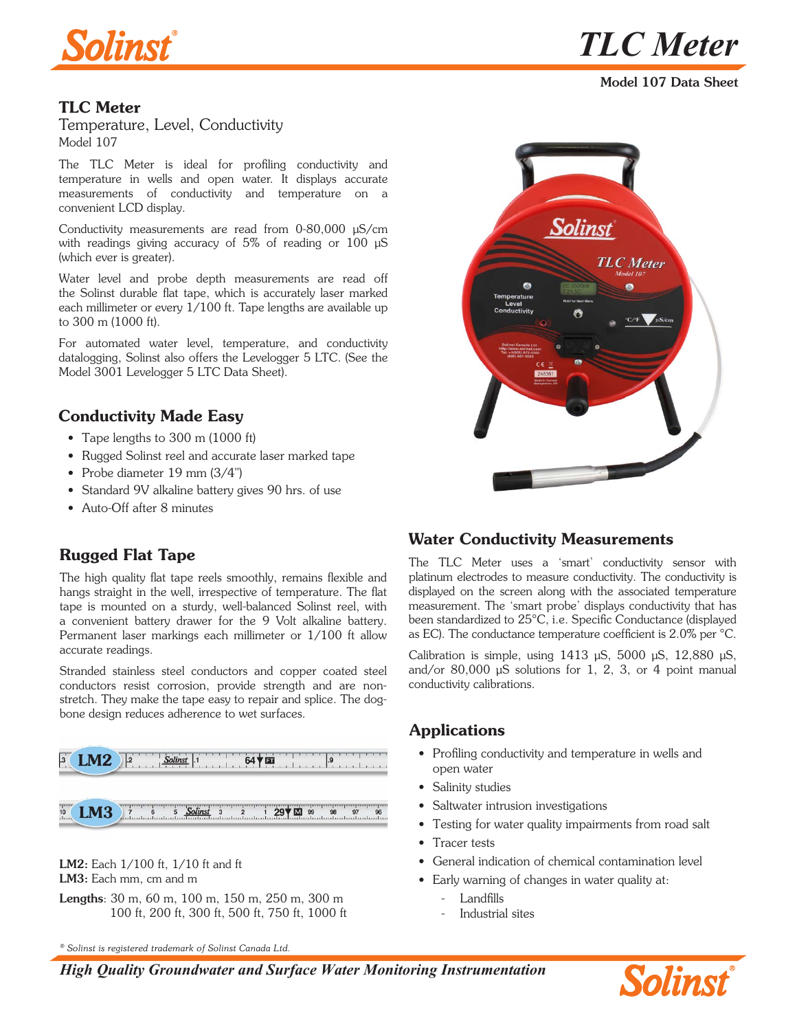



Model 107 Data Sheet

#### TLC Meter

Temperature, Level, Conductivity Model 107

The TLC Meter is ideal for profiling conductivity and temperature in wells and open water. It displays accurate measurements of conductivity and temperature on a convenient LCD display.

Conductivity measurements are read from 0-80,000 µS/cm with readings giving accuracy of 5% of reading or 100  $\mu$ S (which ever is greater).

Water level and probe depth measurements are read off the Solinst durable flat tape, which is accurately laser marked each millimeter or every 1/100 ft. Tape lengths are available up to 300 m (1000 ft).

For automated water level, temperature, and conductivity datalogging, Solinst also offers the Levelogger 5 LTC. (See the Model 3001 Levelogger 5 LTC Data Sheet).

## Conductivity Made Easy

- Tape lengths to 300 m (1000 ft)
- Rugged Solinst reel and accurate laser marked tape
- Probe diameter 19 mm (3/4")
- Standard 9V alkaline battery gives 90 hrs. of use
- Auto-Off after 8 minutes

## Rugged Flat Tape

The high quality flat tape reels smoothly, remains flexible and hangs straight in the well, irrespective of temperature. The flat tape is mounted on a sturdy, well-balanced Solinst reel, with a convenient battery drawer for the 9 Volt alkaline battery. Permanent laser markings each millimeter or 1/100 ft allow accurate readings.

Stranded stainless steel conductors and copper coated steel conductors resist corrosion, provide strength and are nonstretch. They make the tape easy to repair and splice. The dogbone design reduces adherence to wet surfaces.





LM2: Each 1/100 ft, 1/10 ft and ft LM3: Each mm, cm and m

Lengths: 30 m, 60 m, 100 m, 150 m, 250 m, 300 m 100 ft, 200 ft, 300 ft, 500 ft, 750 ft, 1000 ft

*® Solinst is registered trademark of Solinst Canada Ltd.*



## Water Conductivity Measurements

The TLC Meter uses a 'smart' conductivity sensor with platinum electrodes to measure conductivity. The conductivity is displayed on the screen along with the associated temperature measurement. The 'smart probe' displays conductivity that has been standardized to 25°C, i.e. Specific Conductance (displayed as EC). The conductance temperature coefficient is 2.0% per °C.

Calibration is simple, using  $1413 \mu S$ ,  $5000 \mu S$ ,  $12,880 \mu S$ , and/or 80,000 µS solutions for 1, 2, 3, or 4 point manual conductivity calibrations.

#### Applications

- Profiling conductivity and temperature in wells and open water
- Salinity studies
- Saltwater intrusion investigations
- Testing for water quality impairments from road salt
- Tracer tests
- General indication of chemical contamination level
- Early warning of changes in water quality at:
	- Landfills
	- Industrial sites